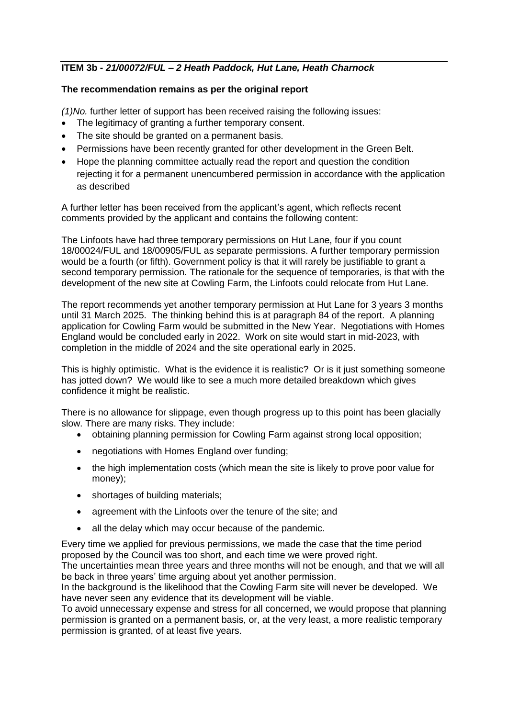# **ITEM 3b -** *21/00072/FUL – 2 Heath Paddock, Hut Lane, Heath Charnock*

### **The recommendation remains as per the original report**

*(1)No.* further letter of support has been received raising the following issues:

- The legitimacy of granting a further temporary consent.
- The site should be granted on a permanent basis.
- Permissions have been recently granted for other development in the Green Belt.
- Hope the planning committee actually read the report and question the condition rejecting it for a permanent unencumbered permission in accordance with the application as described

A further letter has been received from the applicant's agent, which reflects recent comments provided by the applicant and contains the following content:

The Linfoots have had three temporary permissions on Hut Lane, four if you count 18/00024/FUL and 18/00905/FUL as separate permissions. A further temporary permission would be a fourth (or fifth). Government policy is that it will rarely be justifiable to grant a second temporary permission. The rationale for the sequence of temporaries, is that with the development of the new site at Cowling Farm, the Linfoots could relocate from Hut Lane.

The report recommends yet another temporary permission at Hut Lane for 3 years 3 months until 31 March 2025. The thinking behind this is at paragraph 84 of the report. A planning application for Cowling Farm would be submitted in the New Year. Negotiations with Homes England would be concluded early in 2022. Work on site would start in mid-2023, with completion in the middle of 2024 and the site operational early in 2025.

This is highly optimistic. What is the evidence it is realistic? Or is it just something someone has jotted down? We would like to see a much more detailed breakdown which gives confidence it might be realistic.

There is no allowance for slippage, even though progress up to this point has been glacially slow. There are many risks. They include:

- obtaining planning permission for Cowling Farm against strong local opposition;
- negotiations with Homes England over funding;
- the high implementation costs (which mean the site is likely to prove poor value for money);
- shortages of building materials;
- agreement with the Linfoots over the tenure of the site: and
- all the delay which may occur because of the pandemic.

Every time we applied for previous permissions, we made the case that the time period proposed by the Council was too short, and each time we were proved right.

The uncertainties mean three years and three months will not be enough, and that we will all be back in three years' time arguing about yet another permission.

In the background is the likelihood that the Cowling Farm site will never be developed. We have never seen any evidence that its development will be viable.

To avoid unnecessary expense and stress for all concerned, we would propose that planning permission is granted on a permanent basis, or, at the very least, a more realistic temporary permission is granted, of at least five years.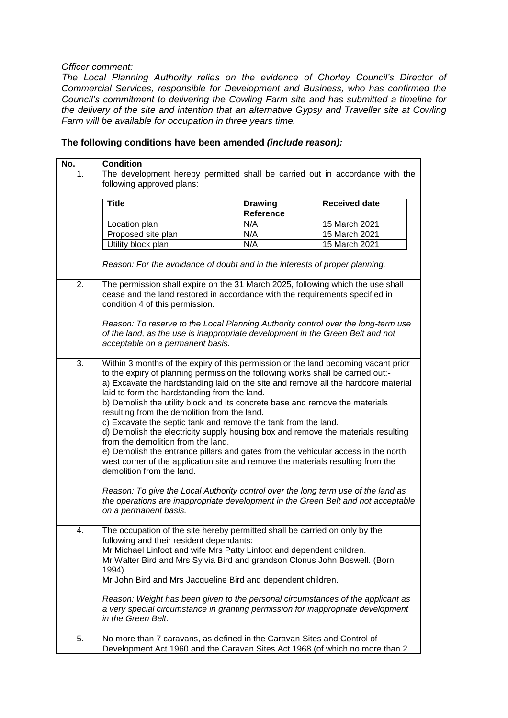#### *Officer comment:*

*The Local Planning Authority relies on the evidence of Chorley Council's Director of Commercial Services, responsible for Development and Business, who has confirmed the Council's commitment to delivering the Cowling Farm site and has submitted a timeline for the delivery of the site and intention that an alternative Gypsy and Traveller site at Cowling Farm will be available for occupation in three years time.*

## **No. Condition** 1. The development hereby permitted shall be carried out in accordance with the following approved plans: **Title Drawing Reference Received date** Location plan N/A 15 March 2021 Proposed site plan N/A 15 March 2021 Utility block plan N/A 15 March 2021 *Reason: For the avoidance of doubt and in the interests of proper planning.* 2. The permission shall expire on the 31 March 2025, following which the use shall cease and the land restored in accordance with the requirements specified in condition 4 of this permission. *Reason: To reserve to the Local Planning Authority control over the long-term use of the land, as the use is inappropriate development in the Green Belt and not acceptable on a permanent basis.* 3. Within 3 months of the expiry of this permission or the land becoming vacant prior to the expiry of planning permission the following works shall be carried out: a) Excavate the hardstanding laid on the site and remove all the hardcore material laid to form the hardstanding from the land. b) Demolish the utility block and its concrete base and remove the materials resulting from the demolition from the land. c) Excavate the septic tank and remove the tank from the land. d) Demolish the electricity supply housing box and remove the materials resulting from the demolition from the land. e) Demolish the entrance pillars and gates from the vehicular access in the north west corner of the application site and remove the materials resulting from the demolition from the land. *Reason: To give the Local Authority control over the long term use of the land as the operations are inappropriate development in the Green Belt and not acceptable on a permanent basis.* 4. The occupation of the site hereby permitted shall be carried on only by the following and their resident dependants: Mr Michael Linfoot and wife Mrs Patty Linfoot and dependent children. Mr Walter Bird and Mrs Sylvia Bird and grandson Clonus John Boswell. (Born 1994). Mr John Bird and Mrs Jacqueline Bird and dependent children. *Reason: Weight has been given to the personal circumstances of the applicant as a very special circumstance in granting permission for inappropriate development in the Green Belt.* 5. No more than 7 caravans, as defined in the Caravan Sites and Control of Development Act 1960 and the Caravan Sites Act 1968 (of which no more than 2

### **The following conditions have been amended** *(include reason):*